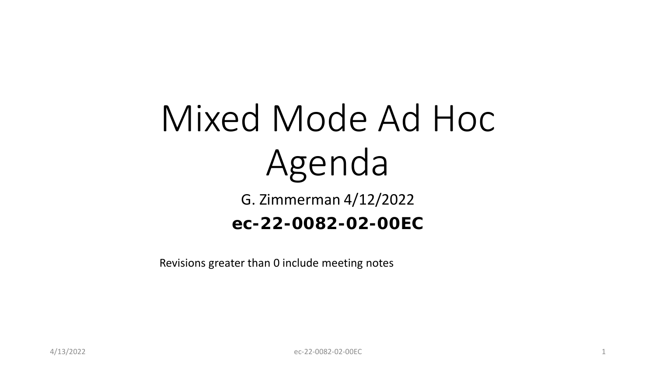# Mixed Mode Ad Hoc Agenda

G. Zimmerman 4/12/2022

### **ec-22-0082-02-00EC**

Revisions greater than 0 include meeting notes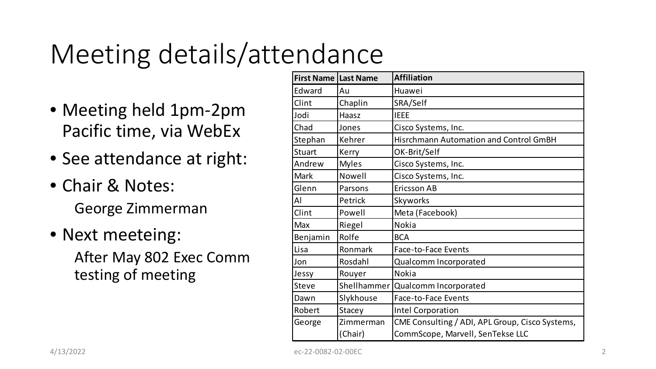## Meeting details/attendance

- Meeting held 1pm-2pm Pacific time, via WebEx
- See attendance at right:
- Chair & Notes: George Zimmerman
- Next meeteing: After May 802 Exec Comm testing of meeting

| <b>First Name Last Name</b> |              | <b>Affiliation</b>                              |
|-----------------------------|--------------|-------------------------------------------------|
| Edward                      | Au           | Huawei                                          |
| Clint                       | Chaplin      | SRA/Self                                        |
| Jodi                        | Haasz        | <b>IEEE</b>                                     |
| Chad                        | Jones        | Cisco Systems, Inc.                             |
| Stephan                     | Kehrer       | <b>Hisrchmann Automation and Control GmBH</b>   |
| <b>Stuart</b>               | Kerry        | OK-Brit/Self                                    |
| Andrew                      | <b>Myles</b> | Cisco Systems, Inc.                             |
| <b>Mark</b>                 | Nowell       | Cisco Systems, Inc.                             |
| Glenn                       | Parsons      | <b>Ericsson AB</b>                              |
| Al                          | Petrick      | Skyworks                                        |
| Clint                       | Powell       | Meta (Facebook)                                 |
| <b>Max</b>                  | Riegel       | Nokia                                           |
| Benjamin                    | Rolfe        | <b>BCA</b>                                      |
| Lisa                        | Ronmark      | Face-to-Face Events                             |
| Jon                         | Rosdahl      | Qualcomm Incorporated                           |
| Jessy                       | Rouyer       | <b>Nokia</b>                                    |
| <b>Steve</b>                | Shellhammer  | Qualcomm Incorporated                           |
| Dawn                        | Slykhouse    | Face-to-Face Events                             |
| Robert                      | Stacey       | <b>Intel Corporation</b>                        |
| George                      | Zimmerman    | CME Consulting / ADI, APL Group, Cisco Systems, |
|                             | (Chair)      | CommScope, Marvell, SenTekse LLC                |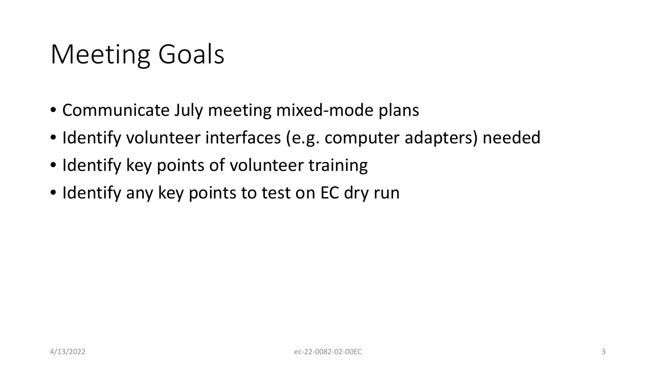## Meeting Goals

- Communicate July meeting mixed-mode plans
- Identify volunteer interfaces (e.g. computer adapters) needed
- Identify key points of volunteer training
- Identify any key points to test on EC dry run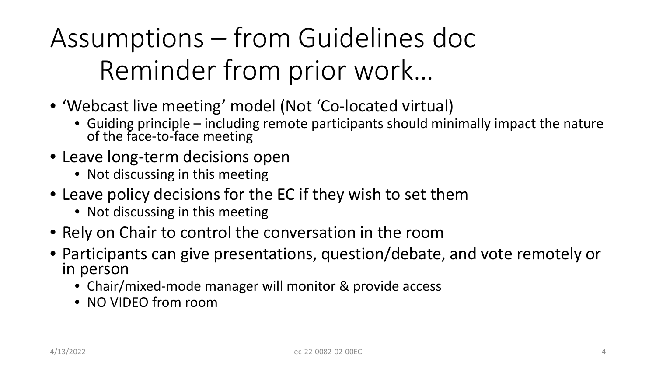Assumptions – from Guidelines doc Reminder from prior work…

- 'Webcast live meeting' model (Not 'Co-located virtual)
	- Guiding principle including remote participants should minimally impact the nature of the face-to-face meeting
- Leave long-term decisions open
	- Not discussing in this meeting
- Leave policy decisions for the EC if they wish to set them
	- Not discussing in this meeting
- Rely on Chair to control the conversation in the room
- Participants can give presentations, question/debate, and vote remotely or in person
	- Chair/mixed-mode manager will monitor & provide access
	- NO VIDEO from room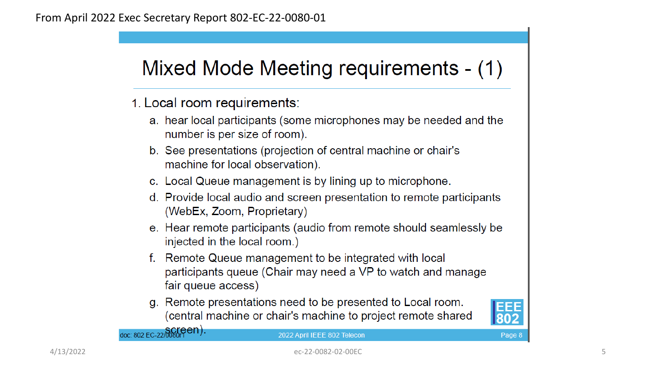### Mixed Mode Meeting requirements - (1)

- 1. Local room requirements:
	- a. hear local participants (some microphones may be needed and the number is per size of room).
	- b. See presentations (projection of central machine or chair's machine for local observation).
	- c. Local Queue management is by lining up to microphone.
	- d. Provide local audio and screen presentation to remote participants (WebEx, Zoom, Proprietary)
	- e. Hear remote participants (audio from remote should seamlessly be injected in the local room.)
	- f. Remote Queue management to be integrated with local participants queue (Chair may need a VP to watch and manage fair queue access)
	- g. Remote presentations need to be presented to Local room. (central machine or chair's machine to project remote shared



Page 8

doc: 802 EC-22/0080rPen).

2022 April IEEE 802 Telecon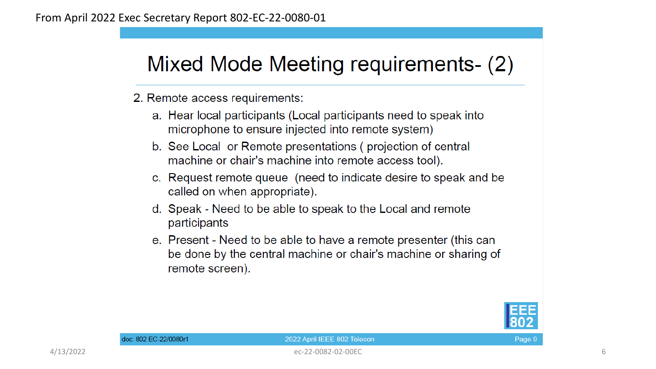### Mixed Mode Meeting requirements- (2)

2. Remote access requirements:

- a. Hear local participants (Local participants need to speak into microphone to ensure injected into remote system)
- b. See Local or Remote presentations (projection of central machine or chair's machine into remote access tool).
- c. Request remote queue (need to indicate desire to speak and be called on when appropriate).
- d. Speak Need to be able to speak to the Local and remote participants
- e. Present Need to be able to have a remote presenter (this can be done by the central machine or chair's machine or sharing of remote screen).



#### 2022 April IEEE 802 Telecon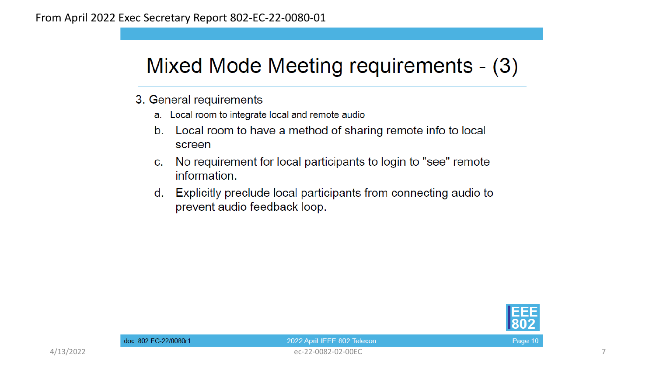### Mixed Mode Meeting requirements - (3)

- 3. General requirements
	- a. Local room to integrate local and remote audio
	- $b<sub>1</sub>$ Local room to have a method of sharing remote info to local screen
	- No requirement for local participants to login to "see" remote  $C<sub>1</sub>$ information.
	- Explicitly preclude local participants from connecting audio to d. prevent audio feedback loop.



Page 10

4/13/2022 ec-22-0082-02-00EC 7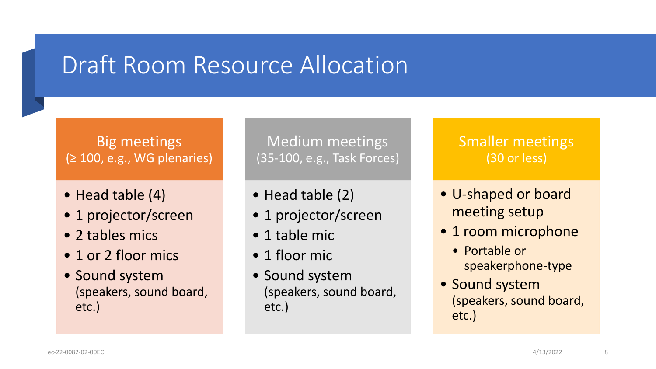### Draft Room Resource Allocation

#### Big meetings (≥ 100, e.g., WG plenaries)

- Head table (4)
- 1 projector/screen
- 2 tables mics
- 1 or 2 floor mics
- Sound system (speakers, sound board, etc.)

Medium meetings (35-100, e.g., Task Forces)

- Head table (2)
- 1 projector/screen
- 1 table mic
- 1 floor mic
- Sound system (speakers, sound board, etc.)

#### Smaller meetings (30 or less)

- U-shaped or board meeting setup
- 1 room microphone
	- Portable or speakerphone-type
- Sound system (speakers, sound board, etc.)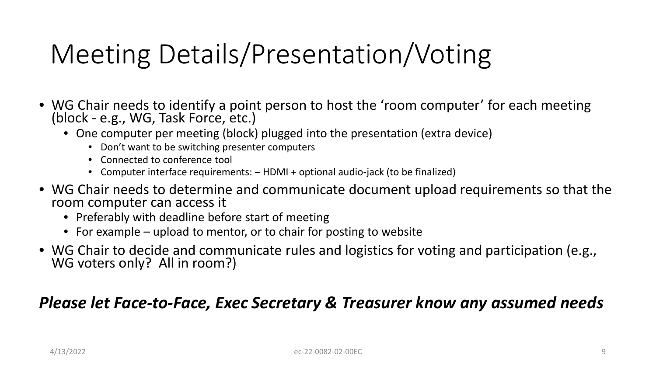## Meeting Details/Presentation/Voting

- WG Chair needs to identify a point person to host the 'room computer' for each meeting (block - e.g., WG, Task Force, etc.)
	- One computer per meeting (block) plugged into the presentation (extra device)
		- Don't want to be switching presenter computers
		- Connected to conference tool
		- Computer interface requirements: HDMI + optional audio-jack (to be finalized)
- WG Chair needs to determine and communicate document upload requirements so that the room computer can access it
	- Preferably with deadline before start of meeting
	- For example upload to mentor, or to chair for posting to website
- WG Chair to decide and communicate rules and logistics for voting and participation (e.g., WG voters only? All in room?)

#### *Please let Face-to-Face, Exec Secretary & Treasurer know any assumed needs*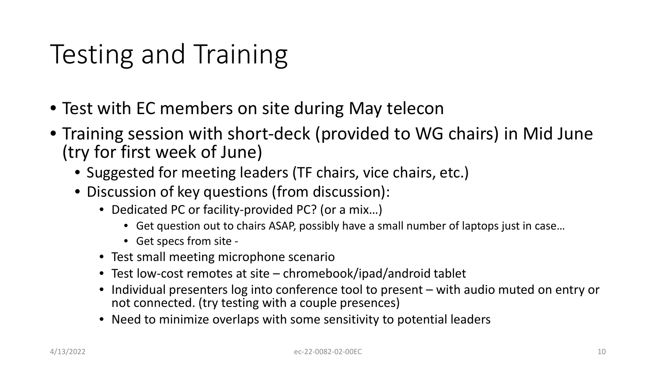## Testing and Training

- Test with EC members on site during May telecon
- Training session with short-deck (provided to WG chairs) in Mid June (try for first week of June)
	- Suggested for meeting leaders (TF chairs, vice chairs, etc.)
	- Discussion of key questions (from discussion):
		- Dedicated PC or facility-provided PC? (or a mix...)
			- Get question out to chairs ASAP, possibly have a small number of laptops just in case…
			- Get specs from site -
		- Test small meeting microphone scenario
		- Test low-cost remotes at site chromebook/ipad/android tablet
		- Individual presenters log into conference tool to present with audio muted on entry or not connected. (try testing with a couple presences)
		- Need to minimize overlaps with some sensitivity to potential leaders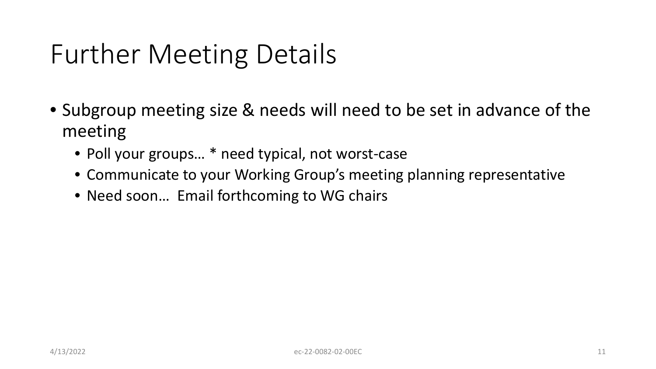## Further Meeting Details

- Subgroup meeting size & needs will need to be set in advance of the meeting
	- Poll your groups... \* need typical, not worst-case
	- Communicate to your Working Group's meeting planning representative
	- Need soon... Email forthcoming to WG chairs